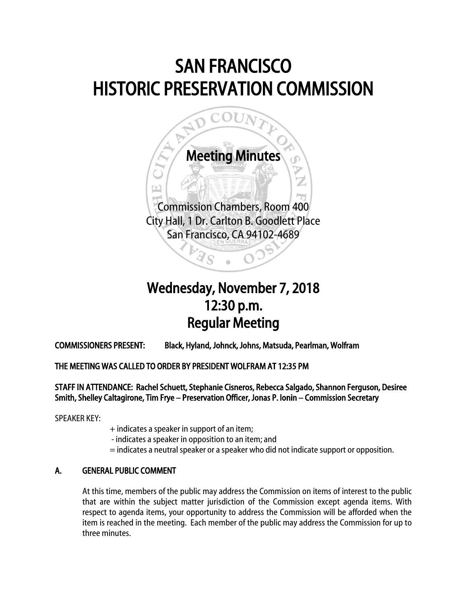# SAN FRANCISCO HISTORIC PRESERVATION COMMISSION



## Wednesday, November 7, 2018 12:30 p.m. Regular Meeting

COMMISSIONERS PRESENT: Black, Hyland, Johnck, Johns, Matsuda, Pearlman, Wolfram

### THE MEETING WAS CALLED TO ORDER BY PRESIDENT WOLFRAM AT 12:35 PM

STAFF IN ATTENDANCE: Rachel Schuett, Stephanie Cisneros, Rebecca Salgado, Shannon Ferguson, Desiree Smith, Shelley Caltagirone, Tim Frye – Preservation Officer, Jonas P. Ionin – Commission Secretary

SPEAKER KEY:

- + indicates a speaker in support of an item;
- indicates a speaker in opposition to an item; and
- = indicates a neutral speaker or a speaker who did not indicate support or opposition.

### A. GENERAL PUBLIC COMMENT

At this time, members of the public may address the Commission on items of interest to the public that are within the subject matter jurisdiction of the Commission except agenda items. With respect to agenda items, your opportunity to address the Commission will be afforded when the item is reached in the meeting. Each member of the public may address the Commission for up to three minutes.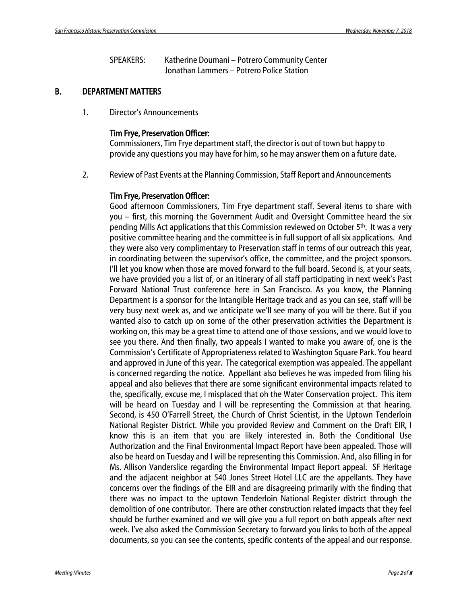SPEAKERS: Katherine Doumani – Potrero Community Center Jonathan Lammers – Potrero Police Station

### B. DEPARTMENT MATTERS

1. Director's Announcements

#### Tim Frye, Preservation Officer:

Commissioners, Tim Frye department staff, the director is out of town but happy to provide any questions you may have for him, so he may answer them on a future date.

2. Review of Past Events at the Planning Commission, Staff Report and Announcements

#### Tim Frye, Preservation Officer:

Good afternoon Commissioners, Tim Frye department staff. Several items to share with you – first, this morning the Government Audit and Oversight Committee heard the six pending Mills Act applications that this Commission reviewed on October 5th. It was a very positive committee hearing and the committee is in full support of all six applications. And they were also very complimentary to Preservation staff in terms of our outreach this year, in coordinating between the supervisor's office, the committee, and the project sponsors. I'll let you know when those are moved forward to the full board. Second is, at your seats, we have provided you a list of, or an itinerary of all staff participating in next week's Past Forward National Trust conference here in San Francisco. As you know, the Planning Department is a sponsor for the Intangible Heritage track and as you can see, staff will be very busy next week as, and we anticipate we'll see many of you will be there. But if you wanted also to catch up on some of the other preservation activities the Department is working on, this may be a great time to attend one of those sessions, and we would love to see you there. And then finally, two appeals I wanted to make you aware of, one is the Commission's Certificate of Appropriateness related to Washington Square Park. You heard and approved in June of this year. The categorical exemption was appealed. The appellant is concerned regarding the notice. Appellant also believes he was impeded from filing his appeal and also believes that there are some significant environmental impacts related to the, specifically, excuse me, I misplaced that oh the Water Conservation project. This item will be heard on Tuesday and I will be representing the Commission at that hearing. Second, is 450 O'Farrell Street, the Church of Christ Scientist, in the Uptown Tenderloin National Register District. While you provided Review and Comment on the Draft EIR, I know this is an item that you are likely interested in. Both the Conditional Use Authorization and the Final Environmental Impact Report have been appealed. Those will also be heard on Tuesday and I will be representing this Commission. And, also filling in for Ms. Allison Vanderslice regarding the Environmental Impact Report appeal. SF Heritage and the adjacent neighbor at 540 Jones Street Hotel LLC are the appellants. They have concerns over the findings of the EIR and are disagreeing primarily with the finding that there was no impact to the uptown Tenderloin National Register district through the demolition of one contributor. There are other construction related impacts that they feel should be further examined and we will give you a full report on both appeals after next week. I've also asked the Commission Secretary to forward you links to both of the appeal documents, so you can see the contents, specific contents of the appeal and our response.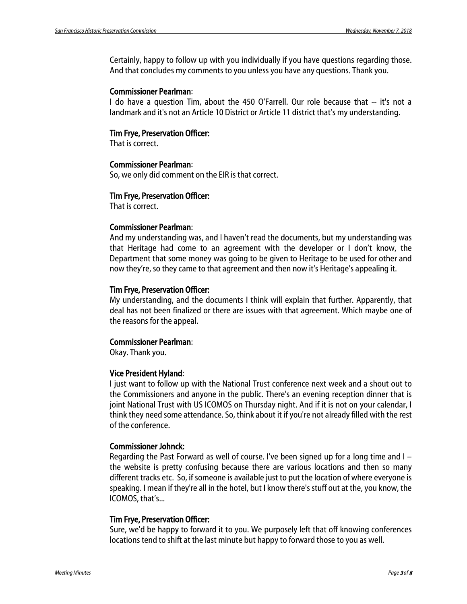Certainly, happy to follow up with you individually if you have questions regarding those. And that concludes my comments to you unless you have any questions. Thank you.

#### Commissioner Pearlman:

I do have a question Tim, about the 450 O'Farrell. Our role because that -- it's not a landmark and it's not an Article 10 District or Article 11 district that's my understanding.

#### Tim Frye, Preservation Officer:

That is correct.

#### Commissioner Pearlman:

So, we only did comment on the EIR is that correct.

#### Tim Frye, Preservation Officer:

That is correct.

#### Commissioner Pearlman:

And my understanding was, and I haven't read the documents, but my understanding was that Heritage had come to an agreement with the developer or I don't know, the Department that some money was going to be given to Heritage to be used for other and now they're, so they came to that agreement and then now it's Heritage's appealing it.

#### Tim Frye, Preservation Officer:

My understanding, and the documents I think will explain that further. Apparently, that deal has not been finalized or there are issues with that agreement. Which maybe one of the reasons for the appeal.

### Commissioner Pearlman:

Okay. Thank you.

#### Vice President Hyland:

I just want to follow up with the National Trust conference next week and a shout out to the Commissioners and anyone in the public. There's an evening reception dinner that is joint National Trust with US ICOMOS on Thursday night. And if it is not on your calendar, I think they need some attendance. So, think about it if you're not already filled with the rest of the conference.

#### Commissioner Johnck:

Regarding the Past Forward as well of course. I've been signed up for a long time and I – the website is pretty confusing because there are various locations and then so many different tracks etc. So, if someone is available just to put the location of where everyone is speaking. I mean if they're all in the hotel, but I know there's stuff out at the, you know, the ICOMOS, that's...

#### Tim Frye, Preservation Officer:

Sure, we'd be happy to forward it to you. We purposely left that off knowing conferences locations tend to shift at the last minute but happy to forward those to you as well.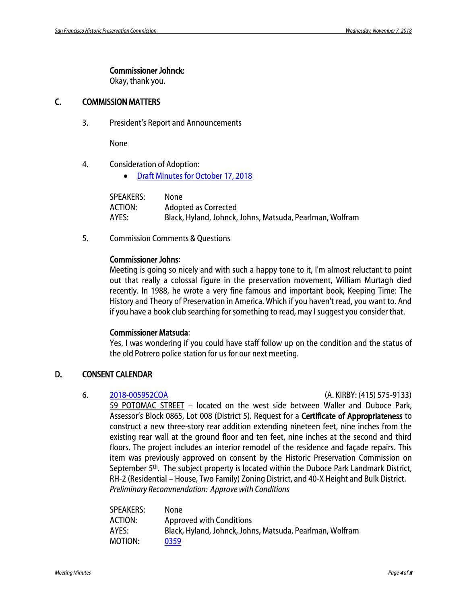#### Commissioner Johnck:

Okay, thank you.

### C. COMMISSION MATTERS

3. President's Report and Announcements

None

- 4. Consideration of Adoption:
	- Draft Minutes for [October 17, 2018](http://commissions.sfplanning.org/hpcpackets/20181017_hpc_min.pdf)

| SPEAKERS: | None                                                     |
|-----------|----------------------------------------------------------|
| ACTION:   | Adopted as Corrected                                     |
| AYES:     | Black, Hyland, Johnck, Johns, Matsuda, Pearlman, Wolfram |

5. Commission Comments & Questions

#### Commissioner Johns:

Meeting is going so nicely and with such a happy tone to it, I'm almost reluctant to point out that really a colossal figure in the preservation movement, William Murtagh died recently. In 1988, he wrote a very fine famous and important book, Keeping Time: The History and Theory of Preservation in America. Which if you haven't read, you want to. And if you have a book club searching for something to read, may I suggest you consider that.

#### Commissioner Matsuda:

Yes, I was wondering if you could have staff follow up on the condition and the status of the old Potrero police station for us for our next meeting.

### D. CONSENT CALENDAR

6. [2018-005952COA](http://commissions.sfplanning.org/hpcpackets/2018-005952COA.pdf) (A. KIRBY: (415) 575-9133)

59 POTOMAC STREET – located on the west side between Waller and Duboce Park, Assessor's Block 0865, Lot 008 (District 5). Request for a Certificate of Appropriateness to construct a new three-story rear addition extending nineteen feet, nine inches from the existing rear wall at the ground floor and ten feet, nine inches at the second and third floors. The project includes an interior remodel of the residence and façade repairs. This item was previously approved on consent by the Historic Preservation Commission on September 5<sup>th</sup>. The subject property is located within the Duboce Park Landmark District, RH-2 (Residential – House, Two Family) Zoning District, and 40-X Height and Bulk District. *Preliminary Recommendation: Approve with Conditions*

| None                                                     |
|----------------------------------------------------------|
| Approved with Conditions                                 |
| Black, Hyland, Johnck, Johns, Matsuda, Pearlman, Wolfram |
| 0359                                                     |
|                                                          |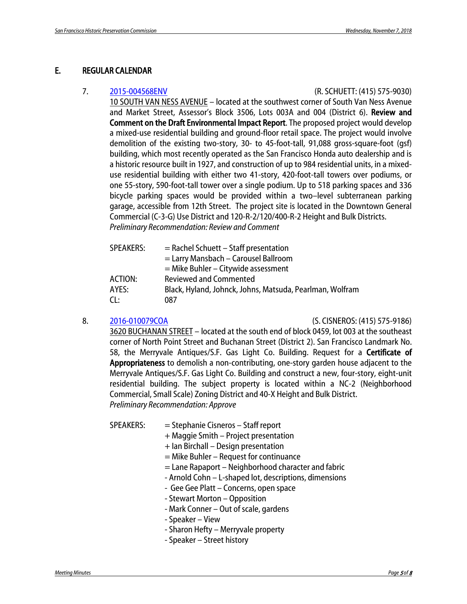#### E. REGULAR CALENDAR

#### 7. [2015-004568ENV](http://sfmea.sfplanning.org/2018-10-17_DEIR_10SVN_reduced.pdf) (R. SCHUETT: (415) 575-9030)

10 SOUTH VAN NESS AVENUE – located at the southwest corner of South Van Ness Avenue and Market Street, Assessor's Block 3506, Lots 003A and 004 (District 6). Review and Comment on the Draft Environmental Impact Report. The proposed project would develop a mixed-use residential building and ground-floor retail space. The project would involve demolition of the existing two-story, 30- to 45-foot-tall, 91,088 gross-square-foot (gsf) building, which most recently operated as the San Francisco Honda auto dealership and is a historic resource built in 1927, and construction of up to 984 residential units, in a mixeduse residential building with either two 41-story, 420-foot-tall towers over podiums, or one 55-story, 590-foot-tall tower over a single podium. Up to 518 parking spaces and 336 bicycle parking spaces would be provided within a two–level subterranean parking garage, accessible from 12th Street. The project site is located in the Downtown General Commercial (C-3-G) Use District and 120-R-2/120/400-R-2 Height and Bulk Districts. *Preliminary Recommendation: Review and Comment*

| <b>SPEAKERS:</b> | $=$ Rachel Schuett – Staff presentation                  |
|------------------|----------------------------------------------------------|
|                  | = Larry Mansbach - Carousel Ballroom                     |
|                  | $=$ Mike Buhler – Citywide assessment                    |
| ACTION:          | <b>Reviewed and Commented</b>                            |
| AYES:            | Black, Hyland, Johnck, Johns, Matsuda, Pearlman, Wolfram |
| CL:              | 087                                                      |

8. [2016-010079COA](http://commissions.sfplanning.org/hpcpackets/2016-010079COA_FINAL.pdf) (S. CISNEROS: (415) 575-9186)

3620 BUCHANAN STREET – located at the south end of block 0459, lot 003 at the southeast corner of North Point Street and Buchanan Street (District 2). San Francisco Landmark No. 58, the Merryvale Antiques/S.F. Gas Light Co. Building. Request for a Certificate of Appropriateness to demolish a non-contributing, one-story garden house adjacent to the Merryvale Antiques/S.F. Gas Light Co. Building and construct a new, four-story, eight-unit residential building. The subject property is located within a NC-2 (Neighborhood Commercial, Small Scale) Zoning District and 40-X Height and Bulk District. *Preliminary Recommendation: Approve*

SPEAKERS: = Stephanie Cisneros – Staff report

- + Maggie Smith Project presentation
- + Ian Birchall Design presentation
- = Mike Buhler Request for continuance
- $=$  Lane Rapaport Neighborhood character and fabric
- Arnold Cohn L-shaped lot, descriptions, dimensions
- Gee Gee Platt Concerns, open space
- Stewart Morton Opposition
- Mark Conner Out of scale, gardens
- Speaker View
- Sharon Hefty Merryvale property
- Speaker Street history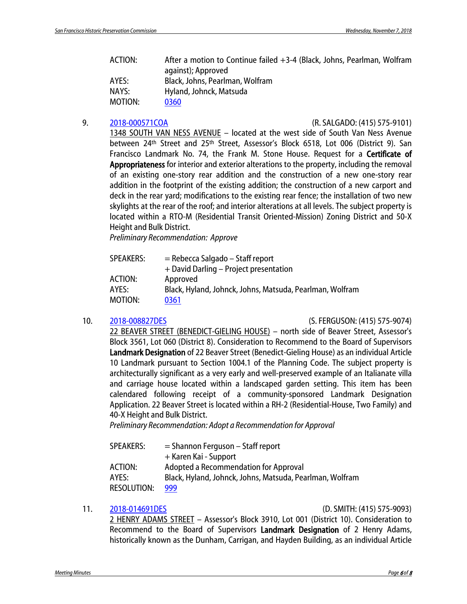ACTION: After a motion to Continue failed +3-4 (Black, Johns, Pearlman, Wolfram against); Approved AYES: Black, Johns, Pearlman, Wolfram NAYS: Hyland, Johnck, Matsuda MOTION: [0360](http://citypln-m-extnl.sfgov.org/link.ashx?Action=Download&ObjectVersion=-1&vault=%7bA4A7DACD-B0DC-4322-BD29-F6F07103C6E0%7d&objectGUID=%7b4A8C41F6-EFB1-448B-9CBD-1A13848FCF60%7d&fileGUID=%7b8CF29F0F-5717-4916-A8B9-B7E83617AD8F%7d)

#### 9. [2018-000571COA](http://commissions.sfplanning.org/hpcpackets/2018-000571COA.pdf) (R. SALGADO: (415) 575-9101)

1348 SOUTH VAN NESS AVENUE – located at the west side of South Van Ness Avenue between 24<sup>th</sup> Street and 25<sup>th</sup> Street, Assessor's Block 6518, Lot 006 (District 9). San Francisco Landmark No. 74, the Frank M. Stone House. Request for a Certificate of Appropriateness for interior and exterior alterations to the property, including the removal of an existing one-story rear addition and the construction of a new one-story rear addition in the footprint of the existing addition; the construction of a new carport and deck in the rear yard; modifications to the existing rear fence; the installation of two new skylights at the rear of the roof; and interior alterations at all levels. The subject property is located within a RTO-M (Residential Transit Oriented-Mission) Zoning District and 50-X Height and Bulk District.

*Preliminary Recommendation: Approve*

| <b>SPEAKERS:</b> | $=$ Rebecca Salgado – Staff report                       |
|------------------|----------------------------------------------------------|
|                  | + David Darling – Project presentation                   |
| <b>ACTION:</b>   | Approved                                                 |
| AYES:            | Black, Hyland, Johnck, Johns, Matsuda, Pearlman, Wolfram |
| MOTION:          | 0361                                                     |

#### 10. [2018-008827DES](http://commissions.sfplanning.org/hpcpackets/2018-008827DES.pdf) (S. FERGUSON: (415) 575-9074)

22 BEAVER STREET (BENEDICT-GIELING HOUSE) – north side of Beaver Street, Assessor's Block 3561, Lot 060 (District 8). Consideration to Recommend to the Board of Supervisors Landmark Designation of 22 Beaver Street (Benedict-Gieling House) as an individual Article 10 Landmark pursuant to Section 1004.1 of the Planning Code. The subject property is architecturally significant as a very early and well-preserved example of an Italianate villa and carriage house located within a landscaped garden setting. This item has been calendared following receipt of a community-sponsored Landmark Designation Application. 22 Beaver Street is located within a RH-2 (Residential-House, Two Family) and 40-X Height and Bulk District.

*Preliminary Recommendation: Adopt a Recommendation for Approval*

| SPEAKERS:   | $=$ Shannon Ferguson – Staff report                      |
|-------------|----------------------------------------------------------|
|             | + Karen Kai - Support                                    |
| ACTION:     | Adopted a Recommendation for Approval                    |
| AYES:       | Black, Hyland, Johnck, Johns, Matsuda, Pearlman, Wolfram |
| RESOLUTION: | 999                                                      |

#### 11. [2018-014691DES](http://commissions.sfplanning.org/hpcpackets/2018%E2%80%90014691DES_11.07.18.pdf) (D. SMITH: (415) 575-9093)

2 HENRY ADAMS STREET – Assessor's Block 3910, Lot 001 (District 10). Consideration to Recommend to the Board of Supervisors Landmark Designation of 2 Henry Adams, historically known as the Dunham, Carrigan, and Hayden Building, as an individual Article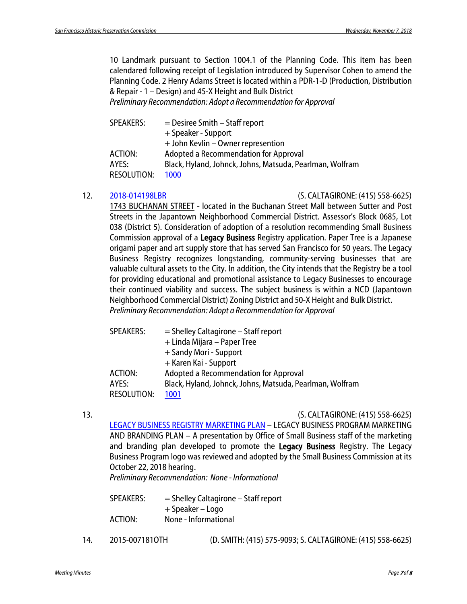10 Landmark pursuant to Section 1004.1 of the Planning Code. This item has been calendared following receipt of Legislation introduced by Supervisor Cohen to amend the Planning Code. 2 Henry Adams Street is located within a PDR-1-D [\(Production, Distribution](https://library.amlegal.com/nxt/gateway.dll/California/planning/article2usedistricts?f=templates$fn=default.htm$3.0$vid=amlegal:sanfrancisco_ca$anc=JD_210.3) & Repair - 1 – [Design\)](https://library.amlegal.com/nxt/gateway.dll/California/planning/article2usedistricts?f=templates$fn=default.htm$3.0$vid=amlegal:sanfrancisco_ca$anc=JD_210.3) and 45-X Height and Bulk District *Preliminary Recommendation: Adopt a Recommendation for Approval*

SPEAKERS: = Desiree Smith – Staff report + Speaker - Support + John Kevlin – Owner represention ACTION: Adopted a Recommendation for Approval AYES: Black, Hyland, Johnck, Johns, Matsuda, Pearlman, Wolfram RESOLUTION: [1000](http://citypln-m-extnl.sfgov.org/link.ashx?Action=Download&ObjectVersion=-1&vault=%7bA4A7DACD-B0DC-4322-BD29-F6F07103C6E0%7d&objectGUID=%7b17E3CDDF-C1B3-4F2C-9DB0-4E63EA8DF584%7d&fileGUID=%7b40361FCB-B5EE-439F-9288-2DDD442E2357%7d)

12. [2018-014198LBR](http://commissions.sfplanning.org/hpcpackets/2018_014198LBR.pdf) (S. CALTAGIRONE: (415) 558-6625)

1743 BUCHANAN STREET - located in the Buchanan Street Mall between Sutter and Post Streets in the Japantown Neighborhood Commercial District. Assessor's Block 0685, Lot 038 (District 5). Consideration of adoption of a resolution recommending Small Business Commission approval of a Legacy Business Registry application. Paper Tree is a Japanese origami paper and art supply store that has served San Francisco for 50 years. The Legacy Business Registry recognizes longstanding, community-serving businesses that are valuable cultural assets to the City. In addition, the City intends that the Registry be a tool for providing educational and promotional assistance to Legacy Businesses to encourage their continued viability and success. The subject business is within a NCD (Japantown Neighborhood Commercial District) Zoning District and 50-X Height and Bulk District. *Preliminary Recommendation: Adopt a Recommendation for Approval*

| SPEAKERS:          | $=$ Shelley Caltagirone $-$ Staff report                 |
|--------------------|----------------------------------------------------------|
|                    | + Linda Mijara – Paper Tree                              |
|                    | + Sandy Mori - Support                                   |
|                    | + Karen Kai - Support                                    |
| <b>ACTION:</b>     | Adopted a Recommendation for Approval                    |
| AYES:              | Black, Hyland, Johnck, Johns, Matsuda, Pearlman, Wolfram |
| <b>RESOLUTION:</b> | 1001                                                     |
|                    |                                                          |

13. (S. CALTAGIRONE: (415) 558-6625) [LEGACY BUSINESS REGISTRY MARKETING PLAN](http://commissions.sfplanning.org/hpcpackets/Legacy%20Business%20Marketing.pdf) – LEGACY BUSINESS PROGRAM MARKETING AND BRANDING PLAN – A presentation by Office of Small Business staff of the marketing and branding plan developed to promote the **Legacy Business** Registry. The Legacy Business Program logo was reviewed and adopted by the Small Business Commission at its October 22, 2018 hearing.

*Preliminary Recommendation: None - Informational*

| SPEAKERS: | $=$ Shelley Caltagirone $-$ Staff report |
|-----------|------------------------------------------|
|           | + Speaker – Logo                         |
| ACTION:   | None - Informational                     |
|           |                                          |

14. 2015-007181OTH (D. SMITH: (415) 575-9093; S. CALTAGIRONE: (415) 558-6625)